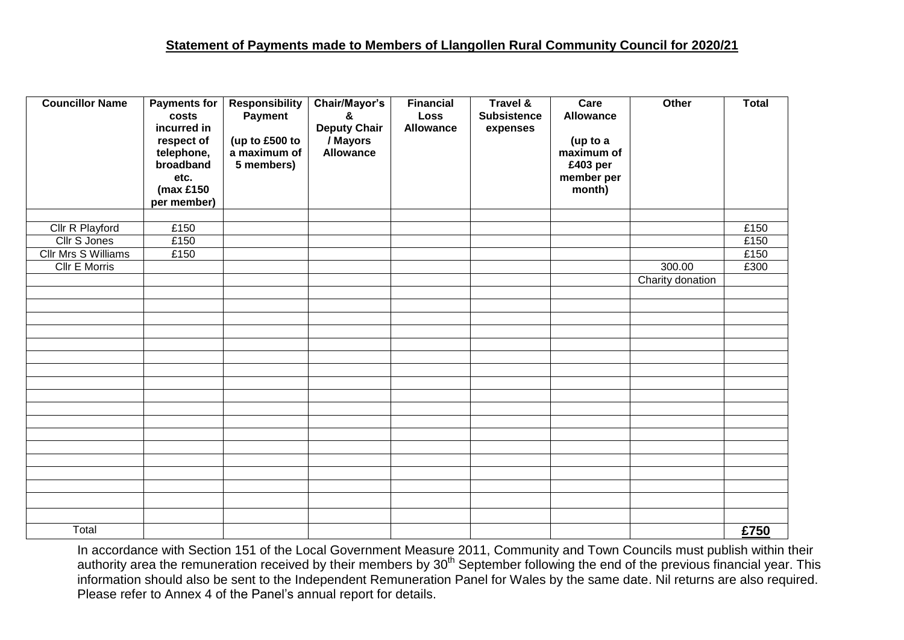## **Statement of Payments made to Members of Llangollen Rural Community Council for 2020/21**

| <b>Councillor Name</b>     | <b>Payments for</b>  | <b>Responsibility</b> | Chair/Mayor's                   | <b>Financial</b>         | <b>Travel &amp;</b> | Care             | Other            | <b>Total</b> |
|----------------------------|----------------------|-----------------------|---------------------------------|--------------------------|---------------------|------------------|------------------|--------------|
|                            | costs<br>incurred in | Payment               | ጼ                               | Loss<br><b>Allowance</b> | <b>Subsistence</b>  | <b>Allowance</b> |                  |              |
|                            | respect of           | (up to £500 to        | <b>Deputy Chair</b><br>/ Mayors |                          | expenses            | (up to a         |                  |              |
|                            | telephone,           | a maximum of          | <b>Allowance</b>                |                          |                     | maximum of       |                  |              |
|                            | broadband            | 5 members)            |                                 |                          |                     | £403 per         |                  |              |
|                            | etc.                 |                       |                                 |                          |                     | member per       |                  |              |
|                            | ( $max £150$         |                       |                                 |                          |                     | month)           |                  |              |
|                            | per member)          |                       |                                 |                          |                     |                  |                  |              |
|                            |                      |                       |                                 |                          |                     |                  |                  |              |
| Cllr R Playford            | £150                 |                       |                                 |                          |                     |                  |                  | £150         |
| Cllr S Jones               | £150                 |                       |                                 |                          |                     |                  |                  | £150         |
| <b>Cllr Mrs S Williams</b> | £150                 |                       |                                 |                          |                     |                  |                  | £150         |
| <b>Cllr E Morris</b>       |                      |                       |                                 |                          |                     |                  | 300.00           | £300         |
|                            |                      |                       |                                 |                          |                     |                  | Charity donation |              |
|                            |                      |                       |                                 |                          |                     |                  |                  |              |
|                            |                      |                       |                                 |                          |                     |                  |                  |              |
|                            |                      |                       |                                 |                          |                     |                  |                  |              |
|                            |                      |                       |                                 |                          |                     |                  |                  |              |
|                            |                      |                       |                                 |                          |                     |                  |                  |              |
|                            |                      |                       |                                 |                          |                     |                  |                  |              |
|                            |                      |                       |                                 |                          |                     |                  |                  |              |
|                            |                      |                       |                                 |                          |                     |                  |                  |              |
|                            |                      |                       |                                 |                          |                     |                  |                  |              |
|                            |                      |                       |                                 |                          |                     |                  |                  |              |
|                            |                      |                       |                                 |                          |                     |                  |                  |              |
|                            |                      |                       |                                 |                          |                     |                  |                  |              |
|                            |                      |                       |                                 |                          |                     |                  |                  |              |
|                            |                      |                       |                                 |                          |                     |                  |                  |              |
|                            |                      |                       |                                 |                          |                     |                  |                  |              |
|                            |                      |                       |                                 |                          |                     |                  |                  |              |
|                            |                      |                       |                                 |                          |                     |                  |                  |              |
| Total                      |                      |                       |                                 |                          |                     |                  |                  | £750         |

In accordance with Section 151 of the Local Government Measure 2011, Community and Town Councils must publish within their authority area the remuneration received by their members by 30<sup>th</sup> September following the end of the previous financial year. This information should also be sent to the Independent Remuneration Panel for Wales by the same date. Nil returns are also required. Please refer to Annex 4 of the Panel's annual report for details.